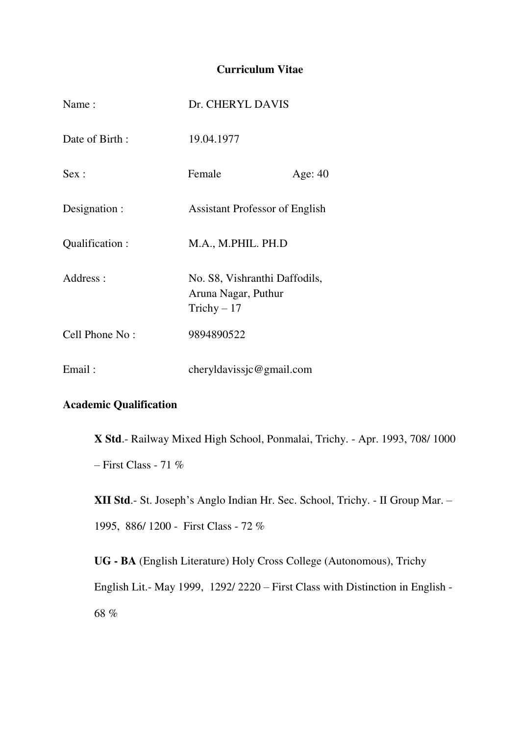## **Curriculum Vitae**

| Name:           | Dr. CHERYL DAVIS                                                     |           |
|-----------------|----------------------------------------------------------------------|-----------|
| Date of Birth:  | 19.04.1977                                                           |           |
| Sex:            | Female                                                               | Age: $40$ |
| Designation :   | <b>Assistant Professor of English</b>                                |           |
| Qualification : | M.A., M.PHIL. PH.D                                                   |           |
| Address:        | No. S8, Vishranthi Daffodils,<br>Aruna Nagar, Puthur<br>Trichy $-17$ |           |
| Cell Phone No:  | 9894890522                                                           |           |
| Email:          | cheryldavissjc@gmail.com                                             |           |

## **Academic Qualification**

**X Std**.- Railway Mixed High School, Ponmalai, Trichy. - Apr. 1993, 708/ 1000 – First Class - 71  $%$ 

**XII Std**.- St. Joseph's Anglo Indian Hr. Sec. School, Trichy. - II Group Mar. – 1995, 886/ 1200 - First Class - 72 %

**UG - BA** (English Literature) Holy Cross College (Autonomous), Trichy English Lit.- May 1999, 1292/ 2220 – First Class with Distinction in English - 68 %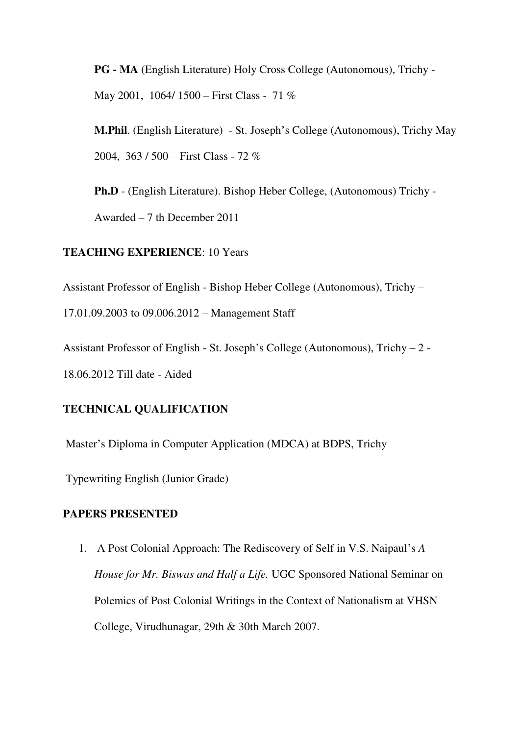**PG - MA** (English Literature) Holy Cross College (Autonomous), Trichy - May 2001, 1064/ 1500 – First Class - 71 %

**M.Phil**. (English Literature) - St. Joseph's College (Autonomous), Trichy May 2004, 363 / 500 – First Class - 72 %

**Ph.D** - (English Literature). Bishop Heber College, (Autonomous) Trichy - Awarded – 7 th December 2011

#### **TEACHING EXPERIENCE**: 10 Years

Assistant Professor of English - Bishop Heber College (Autonomous), Trichy –

17.01.09.2003 to 09.006.2012 – Management Staff

Assistant Professor of English - St. Joseph's College (Autonomous), Trichy – 2 - 18.06.2012 Till date - Aided

## **TECHNICAL QUALIFICATION**

Master's Diploma in Computer Application (MDCA) at BDPS, Trichy

Typewriting English (Junior Grade)

#### **PAPERS PRESENTED**

1. A Post Colonial Approach: The Rediscovery of Self in V.S. Naipaul's *A House for Mr. Biswas and Half a Life.* UGC Sponsored National Seminar on Polemics of Post Colonial Writings in the Context of Nationalism at VHSN College, Virudhunagar, 29th & 30th March 2007.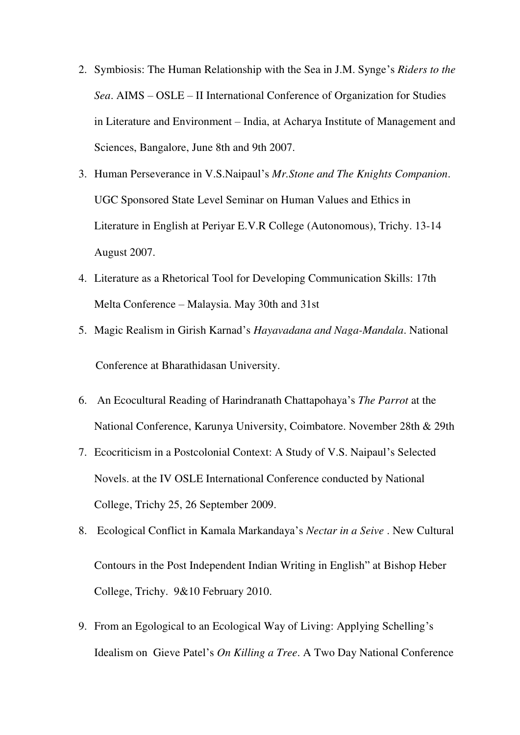- 2. Symbiosis: The Human Relationship with the Sea in J.M. Synge's *Riders to the Sea*. AIMS – OSLE – II International Conference of Organization for Studies in Literature and Environment – India, at Acharya Institute of Management and Sciences, Bangalore, June 8th and 9th 2007.
- 3. Human Perseverance in V.S.Naipaul's *Mr.Stone and The Knights Companion*. UGC Sponsored State Level Seminar on Human Values and Ethics in Literature in English at Periyar E.V.R College (Autonomous), Trichy. 13-14 August 2007.
- 4. Literature as a Rhetorical Tool for Developing Communication Skills: 17th Melta Conference – Malaysia. May 30th and 31st
- 5. Magic Realism in Girish Karnad's *Hayavadana and Naga-Mandala*. National Conference at Bharathidasan University.
- 6. An Ecocultural Reading of Harindranath Chattapohaya's *The Parrot* at the National Conference, Karunya University, Coimbatore. November 28th & 29th
- 7. Ecocriticism in a Postcolonial Context: A Study of V.S. Naipaul's Selected Novels. at the IV OSLE International Conference conducted by National College, Trichy 25, 26 September 2009.
- 8. Ecological Conflict in Kamala Markandaya's *Nectar in a Seive* . New Cultural Contours in the Post Independent Indian Writing in English" at Bishop Heber College, Trichy. 9&10 February 2010.
- 9. From an Egological to an Ecological Way of Living: Applying Schelling's Idealism on Gieve Patel's *On Killing a Tree*. A Two Day National Conference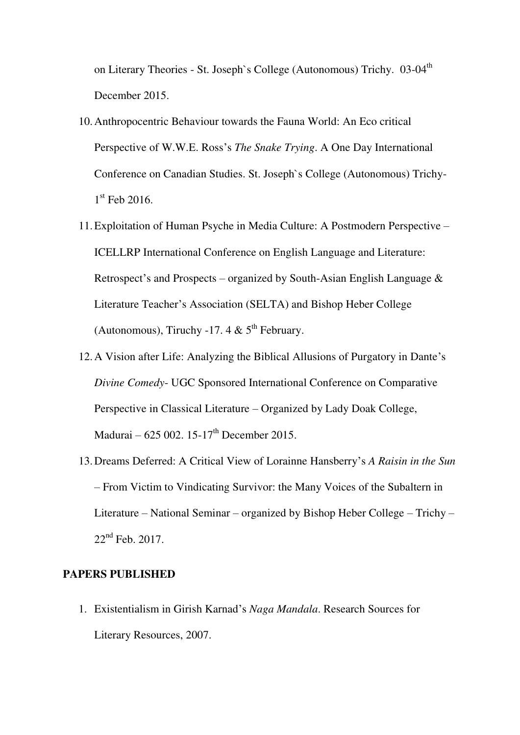on Literary Theories - St. Joseph's College (Autonomous) Trichy. 03-04<sup>th</sup> December 2015.

- 10.Anthropocentric Behaviour towards the Fauna World: An Eco critical Perspective of W.W.E. Ross's *The Snake Trying*. A One Day International Conference on Canadian Studies. St. Joseph`s College (Autonomous) Trichy-1 st Feb 2016.
- 11.Exploitation of Human Psyche in Media Culture: A Postmodern Perspective ICELLRP International Conference on English Language and Literature: Retrospect's and Prospects – organized by South-Asian English Language  $\&$ Literature Teacher's Association (SELTA) and Bishop Heber College (Autonomous), Tiruchy -17. 4 &  $5<sup>th</sup>$  February.
- 12.A Vision after Life: Analyzing the Biblical Allusions of Purgatory in Dante's *Divine Comedy*- UGC Sponsored International Conference on Comparative Perspective in Classical Literature – Organized by Lady Doak College, Madurai – 625 002. 15-17<sup>th</sup> December 2015.
- 13.Dreams Deferred: A Critical View of Lorainne Hansberry's *A Raisin in the Sun* – From Victim to Vindicating Survivor: the Many Voices of the Subaltern in Literature – National Seminar – organized by Bishop Heber College – Trichy – 22<sup>nd</sup> Feb. 2017.

#### **PAPERS PUBLISHED**

1. Existentialism in Girish Karnad's *Naga Mandala*. Research Sources for Literary Resources, 2007.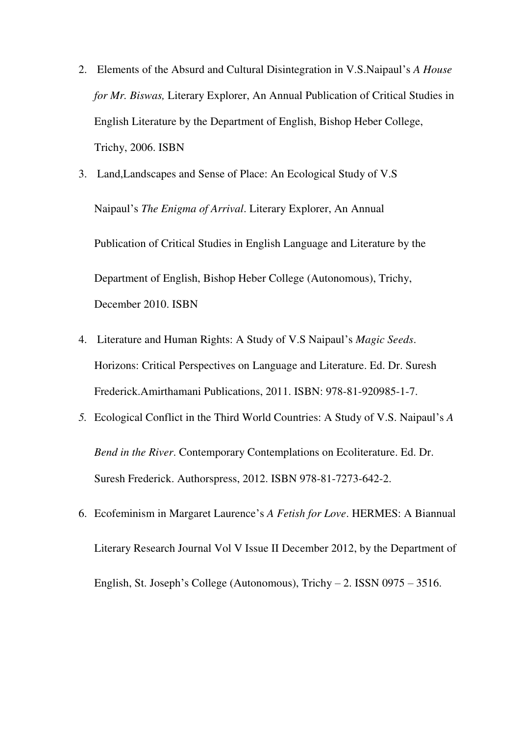- 2. Elements of the Absurd and Cultural Disintegration in V.S.Naipaul's *A House for Mr. Biswas,* Literary Explorer, An Annual Publication of Critical Studies in English Literature by the Department of English, Bishop Heber College, Trichy, 2006. ISBN
- 3. Land,Landscapes and Sense of Place: An Ecological Study of V.S Naipaul's *The Enigma of Arrival*. Literary Explorer, An Annual Publication of Critical Studies in English Language and Literature by the Department of English, Bishop Heber College (Autonomous), Trichy, December 2010. ISBN
- 4. Literature and Human Rights: A Study of V.S Naipaul's *Magic Seeds*. Horizons: Critical Perspectives on Language and Literature. Ed. Dr. Suresh Frederick.Amirthamani Publications, 2011. ISBN: 978-81-920985-1-7.
- *5.* Ecological Conflict in the Third World Countries: A Study of V.S. Naipaul's *A Bend in the River*. Contemporary Contemplations on Ecoliterature. Ed. Dr. Suresh Frederick. Authorspress, 2012. ISBN 978-81-7273-642-2.
- 6. Ecofeminism in Margaret Laurence's *A Fetish for Love*. HERMES: A Biannual Literary Research Journal Vol V Issue II December 2012, by the Department of English, St. Joseph's College (Autonomous), Trichy – 2. ISSN 0975 – 3516.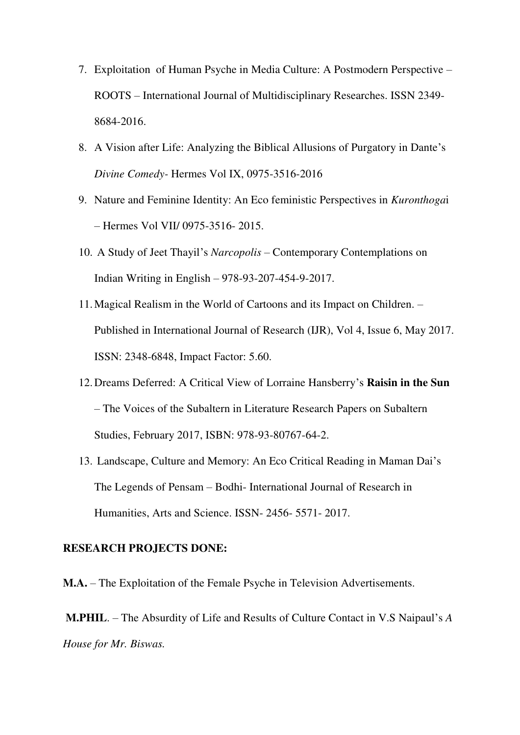- 7. Exploitation of Human Psyche in Media Culture: A Postmodern Perspective ROOTS – International Journal of Multidisciplinary Researches. ISSN 2349- 8684-2016.
- 8. A Vision after Life: Analyzing the Biblical Allusions of Purgatory in Dante's *Divine Comedy-* Hermes Vol IX, 0975-3516-2016
- 9. Nature and Feminine Identity: An Eco feministic Perspectives in *Kuronthoga*i – Hermes Vol VII/ 0975-3516- 2015.
- 10. A Study of Jeet Thayil's *Narcopolis* Contemporary Contemplations on Indian Writing in English – 978-93-207-454-9-2017.
- 11.Magical Realism in the World of Cartoons and its Impact on Children. Published in International Journal of Research (IJR), Vol 4, Issue 6, May 2017. ISSN: 2348-6848, Impact Factor: 5.60.
- 12.Dreams Deferred: A Critical View of Lorraine Hansberry's **Raisin in the Sun** – The Voices of the Subaltern in Literature Research Papers on Subaltern Studies, February 2017, ISBN: 978-93-80767-64-2.
- 13. Landscape, Culture and Memory: An Eco Critical Reading in Maman Dai's The Legends of Pensam – Bodhi- International Journal of Research in Humanities, Arts and Science. ISSN- 2456- 5571- 2017.

#### **RESEARCH PROJECTS DONE:**

**M.A.** – The Exploitation of the Female Psyche in Television Advertisements.

**M.PHIL**. – The Absurdity of Life and Results of Culture Contact in V.S Naipaul's *A House for Mr. Biswas.*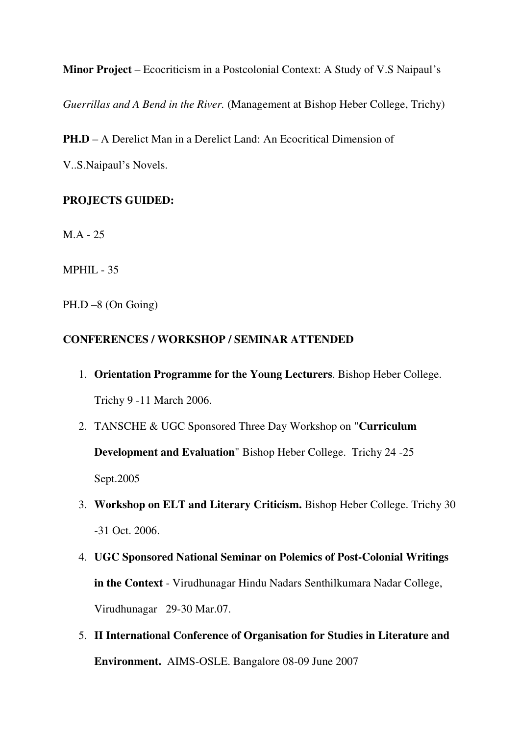**Minor Project** – Ecocriticism in a Postcolonial Context: A Study of V.S Naipaul's

*Guerrillas and A Bend in the River.* (Management at Bishop Heber College, Trichy)

**PH.D –** A Derelict Man in a Derelict Land: An Ecocritical Dimension of

V..S.Naipaul's Novels.

## **PROJECTS GUIDED:**

M.A - 25

MPHIL - 35

PH.D –8 (On Going)

## **CONFERENCES / WORKSHOP / SEMINAR ATTENDED**

- 1. **Orientation Programme for the Young Lecturers**. Bishop Heber College. Trichy 9 -11 March 2006.
- 2. TANSCHE & UGC Sponsored Three Day Workshop on "**Curriculum Development and Evaluation**" Bishop Heber College. Trichy 24 -25 Sept.2005
- 3. **Workshop on ELT and Literary Criticism.** Bishop Heber College. Trichy 30 -31 Oct. 2006.
- 4. **UGC Sponsored National Seminar on Polemics of Post-Colonial Writings in the Context** - Virudhunagar Hindu Nadars Senthilkumara Nadar College, Virudhunagar 29-30 Mar.07.
- 5. **II International Conference of Organisation for Studies in Literature and Environment.** AIMS-OSLE. Bangalore 08-09 June 2007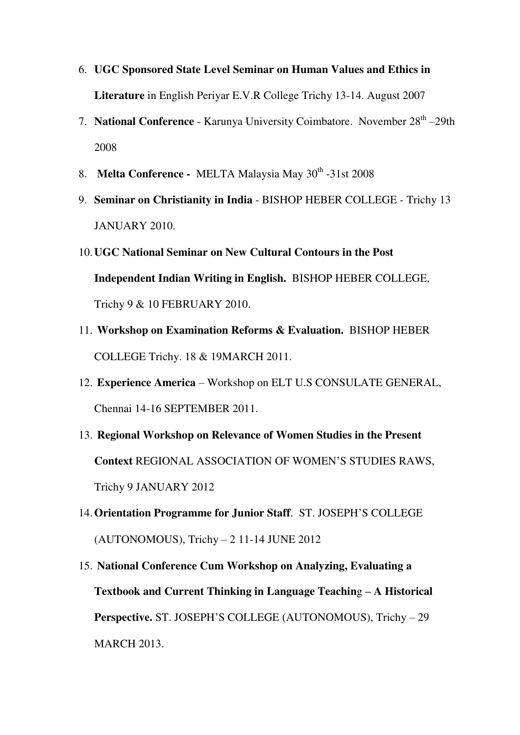- 6. **UGC Sponsored State Level Seminar on Human Values and Ethics in Literature** in English Periyar E.V.R College Trichy 13-14. August 2007
- 7. **National Conference** Karunya University Coimbatore. November 28<sup>th</sup> -29th 2008
- 8. **Melta Conference MELTA Malaysia May 30<sup>th</sup> -31st 2008**
- 9. **Seminar on Christianity in India** BISHOP HEBER COLLEGE Trichy 13 JANUARY 2010.
- 10.**UGC National Seminar on New Cultural Contours in the Post Independent Indian Writing in English.** BISHOP HEBER COLLEGE, Trichy 9 & 10 FEBRUARY 2010.
- 11. **Workshop on Examination Reforms & Evaluation.** BISHOP HEBER COLLEGE Trichy. 18 & 19MARCH 2011.
- 12. **Experience America** Workshop on ELT U.S CONSULATE GENERAL, Chennai 14-16 SEPTEMBER 2011.
- 13. **Regional Workshop on Relevance of Women Studies in the Present Context** REGIONAL ASSOCIATION OF WOMEN'S STUDIES RAWS, Trichy 9 JANUARY 2012
- 14.**Orientation Programme for Junior Staff**. ST. JOSEPH'S COLLEGE (AUTONOMOUS), Trichy – 2 11-14 JUNE 2012
- 15. **National Conference Cum Workshop on Analyzing, Evaluating a Textbook and Current Thinking in Language Teachin**g **– A Historical Perspective.** ST. JOSEPH'S COLLEGE (AUTONOMOUS), Trichy – 29 MARCH 2013.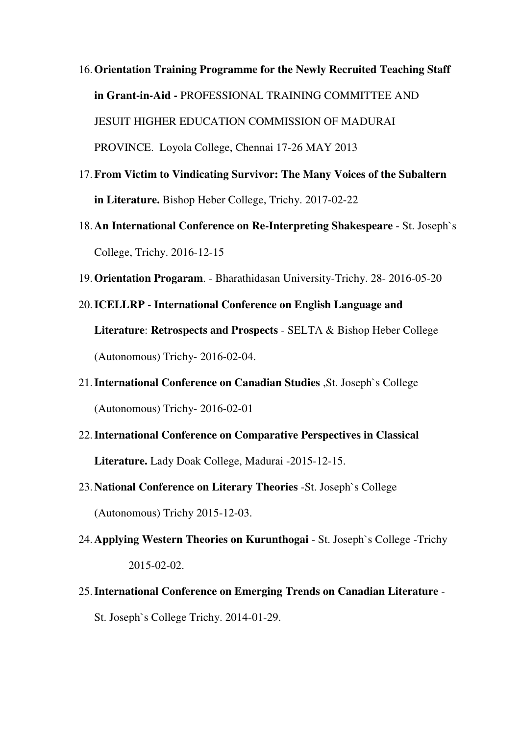- 16.**Orientation Training Programme for the Newly Recruited Teaching Staff in Grant-in-Aid -** PROFESSIONAL TRAINING COMMITTEE AND JESUIT HIGHER EDUCATION COMMISSION OF MADURAI PROVINCE. Loyola College, Chennai 17-26 MAY 2013
- 17.**From Victim to Vindicating Survivor: The Many Voices of the Subaltern in Literature.** Bishop Heber College, Trichy. 2017-02-22
- 18.**An International Conference on Re-Interpreting Shakespeare** St. Joseph`s College, Trichy. 2016-12-15
- 19.**Orientation Progaram**. Bharathidasan University-Trichy. 28- 2016-05-20
- 20.**ICELLRP International Conference on English Language and Literature**: **Retrospects and Prospects** - SELTA & Bishop Heber College (Autonomous) Trichy- 2016-02-04.
- 21.**International Conference on Canadian Studies** ,St. Joseph`s College (Autonomous) Trichy- 2016-02-01
- 22.**International Conference on Comparative Perspectives in Classical Literature.** Lady Doak College, Madurai -2015-12-15.
- 23.**National Conference on Literary Theories** -St. Joseph`s College (Autonomous) Trichy 2015-12-03.
- 24.**Applying Western Theories on Kurunthogai** St. Joseph`s College -Trichy 2015-02-02.
- 25.**International Conference on Emerging Trends on Canadian Literature** St. Joseph`s College Trichy. 2014-01-29.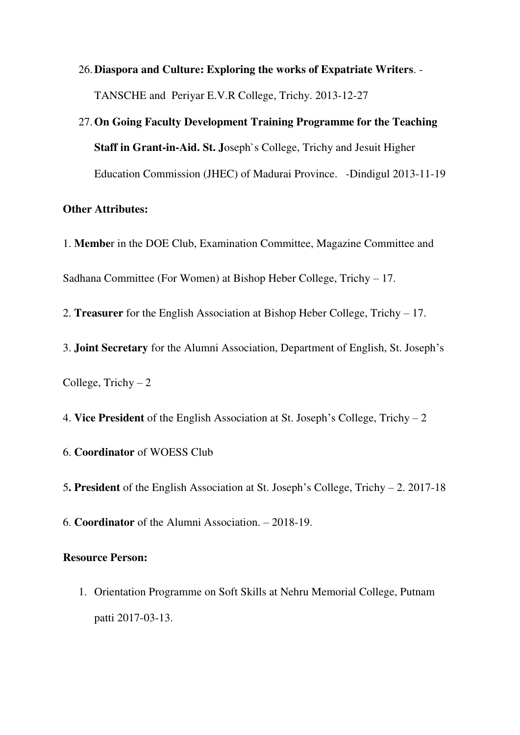## 26.**Diaspora and Culture: Exploring the works of Expatriate Writers**. - TANSCHE and Periyar E.V.R College, Trichy. 2013-12-27

# 27.**On Going Faculty Development Training Programme for the Teaching Staff in Grant-in-Aid. St. J**oseph`s College, Trichy and Jesuit Higher Education Commission (JHEC) of Madurai Province. -Dindigul 2013-11-19

#### **Other Attributes:**

1. **Membe**r in the DOE Club, Examination Committee, Magazine Committee and Sadhana Committee (For Women) at Bishop Heber College, Trichy – 17.

2. **Treasurer** for the English Association at Bishop Heber College, Trichy – 17.

3. **Joint Secretary** for the Alumni Association, Department of English, St. Joseph's College, Trichy  $-2$ 

4. **Vice President** of the English Association at St. Joseph's College, Trichy – 2

6. **Coordinator** of WOESS Club

5**. President** of the English Association at St. Joseph's College, Trichy – 2. 2017-18

6. **Coordinator** of the Alumni Association. – 2018-19.

#### **Resource Person:**

1. Orientation Programme on Soft Skills at Nehru Memorial College, Putnam patti 2017-03-13.